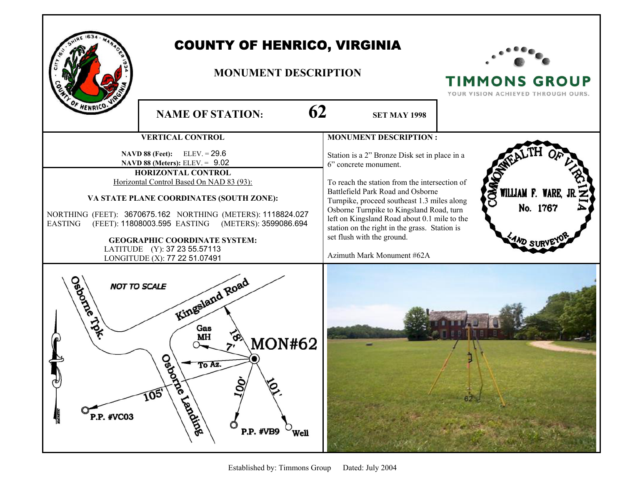

## COUNTY OF HENRICO, VIRGINIA

## **MONUMENT DESCRIPTION**



**TIMMONS GROUP** YOUR VISION ACHIEVED THROUGH OURS.